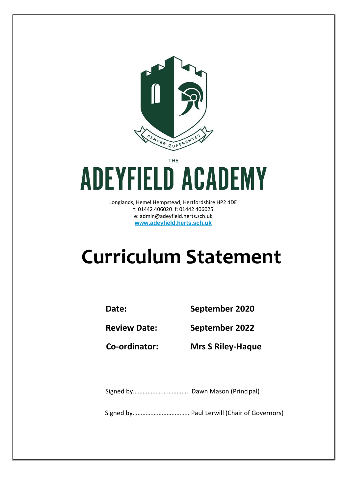

THE

# **ADEYFIELD ACADEMY**

Longlands, Hemel Hempstead, Hertfordshire HP2 4DE t: 01442 406020 f: 01442 406025 e: admin@adeyfield.herts.sch.uk **www.adeyfield.herts.sch.uk**

# **Curriculum Statement**

**Date: September 2020**

**Review Date: September 2022**

**Co-ordinator: Mrs S Riley-Haque**

Signed by…………………………….. Dawn Mason (Principal)

Signed by…………………………….. Paul Lerwill (Chair of Governors)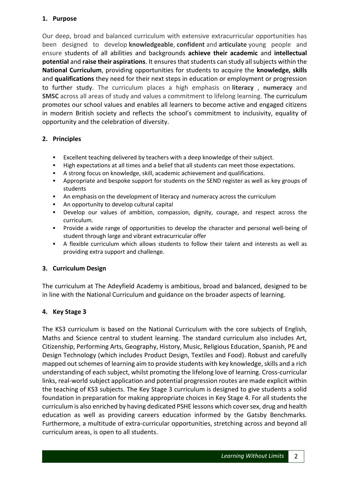#### **1. Purpose**

Our deep, broad and balanced curriculum with extensive extracurricular opportunities has been designed to develop **knowledgeable**, **confident** and **articulate** young people and ensure students of all abilities and backgrounds **achieve their academic** and **intellectual potential** and **raise their aspirations**. It ensures that students can study all subjects within the **National Curriculum**, providing opportunities for students to acquire the **knowledge, skills**  and **qualifications** they need for their next steps in education or employment or progression to further study. The curriculum places a high emphasis on **literacy** , **numeracy** and **SMSC** across all areas of study and values a commitment to lifelong learning. The curriculum promotes our school values and enables all learners to become active and engaged citizens in modern British society and reflects the school's commitment to inclusivity, equality of opportunity and the celebration of diversity.

# **2. Principles**

- Excellent teaching delivered by teachers with a deep knowledge of their subject.
- High expectations at all times and a belief that all students can meet those expectations.
- A strong focus on knowledge, skill, academic achievement and qualifications.
- Appropriate and bespoke support for students on the SEND register as well as key groups of students
- An emphasis on the development of literacy and numeracy across the curriculum
- An opportunity to develop cultural capital
- Develop our values of ambition, compassion, dignity, courage, and respect across the curriculum.
- Provide a wide range of opportunities to develop the character and personal well-being of student through large and vibrant extracurricular offer
- A flexible curriculum which allows students to follow their talent and interests as well as providing extra support and challenge.

# **3. Curriculum Design**

The curriculum at The Adeyfield Academy is ambitious, broad and balanced, designed to be in line with the National Curriculum and guidance on the broader aspects of learning.

# **4. Key Stage 3**

The KS3 curriculum is based on the National Curriculum with the core subjects of English, Maths and Science central to student learning. The standard curriculum also includes Art, Citizenship, Performing Arts, Geography, History, Music, Religious Education, Spanish, PE and Design Technology (which includes Product Design, Textiles and Food). Robust and carefully mapped out schemes of learning aim to provide students with key knowledge, skills and a rich understanding of each subject, whilst promoting the lifelong love of learning. Cross-curricular links, real-world subject application and potential progression routes are made explicit within the teaching of KS3 subjects. The Key Stage 3 curriculum is designed to give students a solid foundation in preparation for making appropriate choices in Key Stage 4. For all students the curriculum is also enriched by having dedicated PSHE lessons which cover sex, drug and health education as well as providing careers education informed by the Gatsby Benchmarks. Furthermore, a multitude of extra-curricular opportunities, stretching across and beyond all curriculum areas, is open to all students.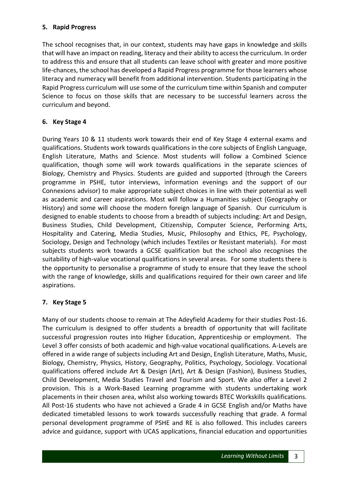#### **5. Rapid Progress**

The school recognises that, in our context, students may have gaps in knowledge and skills that will have an impact on reading, literacy and their ability to access the curriculum. In order to address this and ensure that all students can leave school with greater and more positive life-chances, the school has developed a Rapid Progress programme for those learners whose literacy and numeracy will benefit from additional intervention. Students participating in the Rapid Progress curriculum will use some of the curriculum time within Spanish and computer Science to focus on those skills that are necessary to be successful learners across the curriculum and beyond.

#### **6. Key Stage 4**

During Years 10 & 11 students work towards their end of Key Stage 4 external exams and qualifications. Students work towards qualifications in the core subjects of English Language, English Literature, Maths and Science. Most students will follow a Combined Science qualification, though some will work towards qualifications in the separate sciences of Biology, Chemistry and Physics. Students are guided and supported (through the Careers programme in PSHE, tutor interviews, information evenings and the support of our Connexions advisor) to make appropriate subject choices in line with their potential as well as academic and career aspirations. Most will follow a Humanities subject (Geography or History) and some will choose the modern foreign language of Spanish. Our curriculum is designed to enable students to choose from a breadth of subjects including: Art and Design, Business Studies, Child Development, Citizenship, Computer Science, Performing Arts, Hospitality and Catering, Media Studies, Music, Philosophy and Ethics, PE, Psychology, Sociology, Design and Technology (which includes Textiles or Resistant materials). For most subjects students work towards a GCSE qualification but the school also recognises the suitability of high-value vocational qualifications in several areas. For some students there is the opportunity to personalise a programme of study to ensure that they leave the school with the range of knowledge, skills and qualifications required for their own career and life aspirations.

# **7. Key Stage 5**

Many of our students choose to remain at The Adeyfield Academy for their studies Post-16. The curriculum is designed to offer students a breadth of opportunity that will facilitate successful progression routes into Higher Education, Apprenticeship or employment. The Level 3 offer consists of both academic and high-value vocational qualifications. A-Levels are offered in a wide range of subjects including Art and Design, English Literature, Maths, Music, Biology, Chemistry, Physics, History, Geography, Politics, Psychology, Sociology. Vocational qualifications offered include Art & Design (Art), Art & Design (Fashion), Business Studies, Child Development, Media Studies Travel and Tourism and Sport. We also offer a Level 2 provision. This is a Work-Based Learning programme with students undertaking work placements in their chosen area, whilst also working towards BTEC Workskills qualifications. All Post-16 students who have not achieved a Grade 4 in GCSE English and/or Maths have dedicated timetabled lessons to work towards successfully reaching that grade. A formal personal development programme of PSHE and RE is also followed. This includes careers advice and guidance, support with UCAS applications, financial education and opportunities